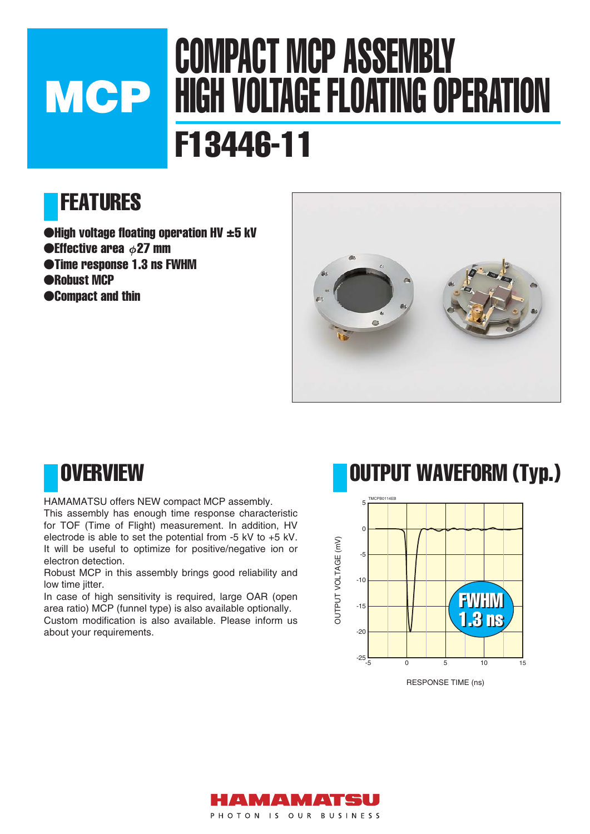# COMPACT MCP ASSEMBLY HIGH VOLTAGE FLOATING OPERATION F13446-11 **MCP**

## FEATURES

 $\bigodot$ High voltage floating operation HV  $\pm 5$  kV  $\bullet$ Effective area  $\phi$ 27 mm ●Time response 1.3 ns FWHM ●Robust MCP ●Compact and thin



### **OVERVIEW**

HAMAMATSU offers NEW compact MCP assembly.

This assembly has enough time response characteristic for TOF (Time of Flight) measurement. In addition, HV electrode is able to set the potential from -5 kV to +5 kV. It will be useful to optimize for positive/negative ion or electron detection.

Robust MCP in this assembly brings good reliability and low time jitter.

In case of high sensitivity is required, large OAR (open area ratio) MCP (funnel type) is also available optionally. Custom modification is also available. Please inform us about your requirements.